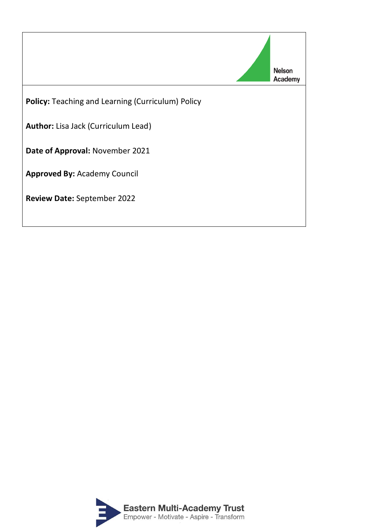

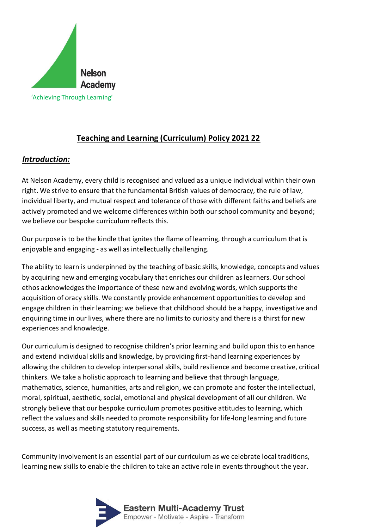

# **Teaching and Learning (Curriculum) Policy 2021 22**

# *Introduction:*

At Nelson Academy, every child is recognised and valued as a unique individual within their own right. We strive to ensure that the fundamental British values of democracy, the rule of law, individual liberty, and mutual respect and tolerance of those with different faiths and beliefs are actively promoted and we welcome differences within both our school community and beyond; we believe our bespoke curriculum reflects this.

Our purpose is to be the kindle that ignites the flame of learning, through a curriculum that is enjoyable and engaging - as well as intellectually challenging.

The ability to learn is underpinned by the teaching of basic skills, knowledge, concepts and values by acquiring new and emerging vocabulary that enriches our children as learners. Our school ethos acknowledges the importance of these new and evolving words, which supports the acquisition of oracy skills. We constantly provide enhancement opportunities to develop and engage children in their learning; we believe that childhood should be a happy, investigative and enquiring time in our lives, where there are no limits to curiosity and there is a thirst for new experiences and knowledge.

Our curriculum is designed to recognise children's prior learning and build upon this to enhance and extend individual skills and knowledge, by providing first-hand learning experiences by allowing the children to develop interpersonal skills, build resilience and become creative, critical thinkers. We take a holistic approach to learning and believe that through language, mathematics, science, humanities, arts and religion, we can promote and foster the intellectual, moral, spiritual, aesthetic, social, emotional and physical development of all our children. We strongly believe that our bespoke curriculum promotes positive attitudes to learning, which reflect the values and skills needed to promote responsibility for life-long learning and future success, as well as meeting statutory requirements.

Community involvement is an essential part of our curriculum as we celebrate local traditions, learning new skills to enable the children to take an active role in events throughout the year.

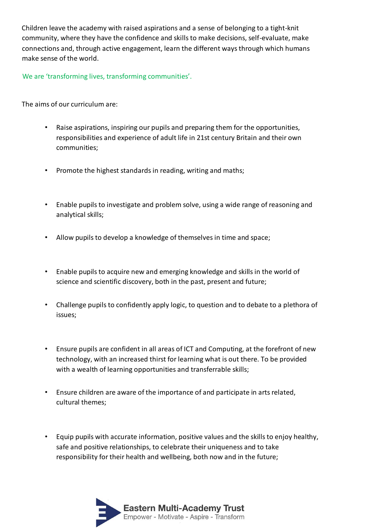Children leave the academy with raised aspirations and a sense of belonging to a tight-knit community, where they have the confidence and skills to make decisions, self-evaluate, make connections and, through active engagement, learn the different ways through which humans make sense of the world.

We are 'transforming lives, transforming communities'.

The aims of our curriculum are:

- Raise aspirations, inspiring our pupils and preparing them for the opportunities, responsibilities and experience of adult life in 21st century Britain and their own communities;
- Promote the highest standards in reading, writing and maths;
- Enable pupils to investigate and problem solve, using a wide range of reasoning and analytical skills;
- Allow pupils to develop a knowledge of themselves in time and space;
- Enable pupils to acquire new and emerging knowledge and skills in the world of science and scientific discovery, both in the past, present and future;
- Challenge pupils to confidently apply logic, to question and to debate to a plethora of issues;
- Ensure pupils are confident in all areas of ICT and Computing, at the forefront of new technology, with an increased thirst for learning what is out there. To be provided with a wealth of learning opportunities and transferrable skills;
- Ensure children are aware of the importance of and participate in arts related, cultural themes;
- Equip pupils with accurate information, positive values and the skills to enjoy healthy, safe and positive relationships, to celebrate their uniqueness and to take responsibility for their health and wellbeing, both now and in the future;

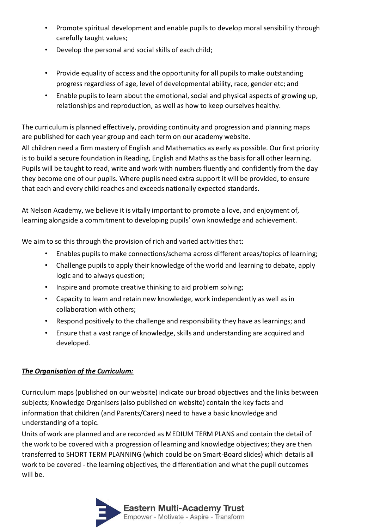- Promote spiritual development and enable pupils to develop moral sensibility through carefully taught values;
- Develop the personal and social skills of each child;
- Provide equality of access and the opportunity for all pupils to make outstanding progress regardless of age, level of developmental ability, race, gender etc; and
- Enable pupils to learn about the emotional, social and physical aspects of growing up, relationships and reproduction, as well as how to keep ourselves healthy.

The curriculum is planned effectively, providing continuity and progression and planning maps are published for each year group and each term on our academy website.

All children need a firm mastery of English and Mathematics as early as possible. Our first priority is to build a secure foundation in Reading, English and Maths as the basis for all other learning. Pupils will be taught to read, write and work with numbers fluently and confidently from the day they become one of our pupils. Where pupils need extra support it will be provided, to ensure that each and every child reaches and exceeds nationally expected standards.

At Nelson Academy, we believe it is vitally important to promote a love, and enjoyment of, learning alongside a commitment to developing pupils' own knowledge and achievement.

We aim to so this through the provision of rich and varied activities that:

- Enables pupils to make connections/schema across different areas/topics of learning;
- Challenge pupils to apply their knowledge of the world and learning to debate, apply logic and to always question;
- Inspire and promote creative thinking to aid problem solving;
- Capacity to learn and retain new knowledge, work independently as well as in collaboration with others;
- Respond positively to the challenge and responsibility they have as learnings; and
- Ensure that a vast range of knowledge, skills and understanding are acquired and developed.

# *The Organisation of the Curriculum:*

Curriculum maps (published on our website) indicate our broad objectives and the links between subjects; Knowledge Organisers (also published on website) contain the key facts and information that children (and Parents/Carers) need to have a basic knowledge and understanding of a topic.

Units of work are planned and are recorded as MEDIUM TERM PLANS and contain the detail of the work to be covered with a progression of learning and knowledge objectives; they are then transferred to SHORT TERM PLANNING (which could be on Smart-Board slides) which details all work to be covered - the learning objectives, the differentiation and what the pupil outcomes will be.

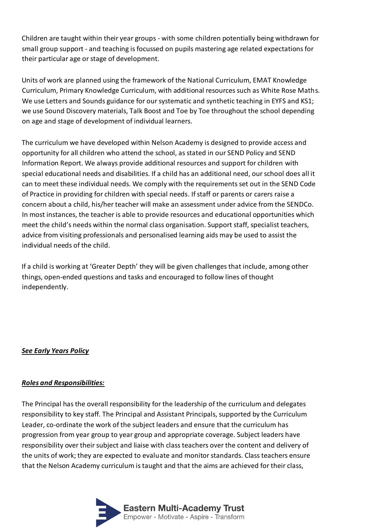Children are taught within their year groups - with some children potentially being withdrawn for small group support - and teaching is focussed on pupils mastering age related expectations for their particular age or stage of development.

Units of work are planned using the framework of the National Curriculum, EMAT Knowledge Curriculum, Primary Knowledge Curriculum, with additional resources such as White Rose Maths. We use Letters and Sounds guidance for our systematic and synthetic teaching in EYFS and KS1; we use Sound Discovery materials, Talk Boost and Toe by Toe throughout the school depending on age and stage of development of individual learners.

The curriculum we have developed within Nelson Academy is designed to provide access and opportunity for all children who attend the school, as stated in our SEND Policy and SEND Information Report. We always provide additional resources and support for children with special educational needs and disabilities. If a child has an additional need, our school does all it can to meet these individual needs. We comply with the requirements set out in the SEND Code of Practice in providing for children with special needs. If staff or parents or carers raise a concern about a child, his/her teacher will make an assessment under advice from the SENDCo. In most instances, the teacher is able to provide resources and educational opportunities which meet the child's needs within the normal class organisation. Support staff, specialist teachers, advice from visiting professionals and personalised learning aids may be used to assist the individual needs of the child.

If a child is working at 'Greater Depth' they will be given challenges that include, among other things, open-ended questions and tasks and encouraged to follow lines of thought independently.

### *See Early Years Policy*

### *Roles and Responsibilities:*

The Principal has the overall responsibility for the leadership of the curriculum and delegates responsibility to key staff. The Principal and Assistant Principals, supported by the Curriculum Leader, co-ordinate the work of the subject leaders and ensure that the curriculum has progression from year group to year group and appropriate coverage. Subject leaders have responsibility over their subject and liaise with class teachers over the content and delivery of the units of work; they are expected to evaluate and monitor standards. Class teachers ensure that the Nelson Academy curriculum is taught and that the aims are achieved for their class,